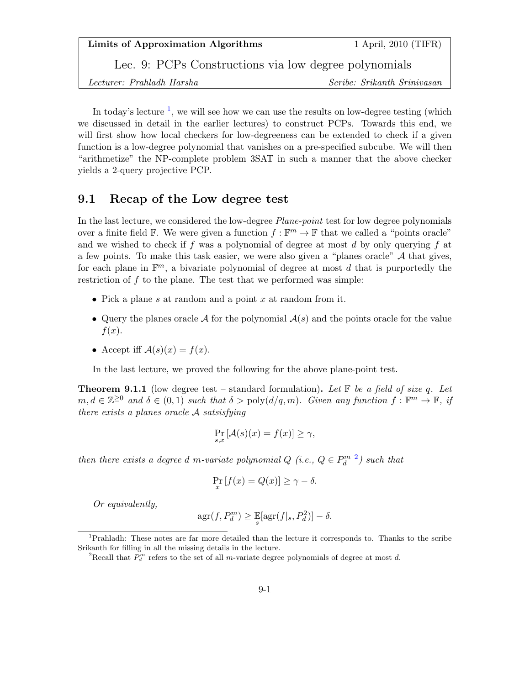Lec. 9: PCPs Constructions via low degree polynomials

Lecturer: Prahladh Harsha Scribe: Srikanth Srinivasan

In today's lecture  $\frac{1}{1}$  $\frac{1}{1}$  $\frac{1}{1}$ , we will see how we can use the results on low-degree testing (which we discussed in detail in the earlier lectures) to construct PCPs. Towards this end, we will first show how local checkers for low-degreeness can be extended to check if a given function is a low-degree polynomial that vanishes on a pre-specified subcube. We will then "arithmetize" the NP-complete problem 3SAT in such a manner that the above checker yields a 2-query projective PCP.

### 9.1 Recap of the Low degree test

In the last lecture, we considered the low-degree *Plane-point* test for low degree polynomials over a finite field  $\mathbb{F}$ . We were given a function  $f : \mathbb{F}^m \to \mathbb{F}$  that we called a "points oracle" and we wished to check if f was a polynomial of degree at most d by only querying f at a few points. To make this task easier, we were also given a "planes oracle"  $A$  that gives, for each plane in  $\mathbb{F}^m$ , a bivariate polynomial of degree at most d that is purportedly the restriction of  $f$  to the plane. The test that we performed was simple:

- Pick a plane s at random and a point  $x$  at random from it.
- Query the planes oracle A for the polynomial  $A(s)$  and the points oracle for the value  $f(x)$ .
- Accept iff  $\mathcal{A}(s)(x) = f(x)$ .

In the last lecture, we proved the following for the above plane-point test.

**Theorem 9.1.1** (low degree test – standard formulation). Let  $\mathbb{F}$  be a field of size q. Let  $m, d \in \mathbb{Z}^{\geq 0}$  and  $\delta \in (0, 1)$  such that  $\delta > \text{poly}(d/q, m)$ . Given any function  $f : \mathbb{F}^m \to \mathbb{F}$ , if there exists a planes oracle A satsisfying

$$
\Pr_{s,x} \left[ \mathcal{A}(s)(x) = f(x) \right] \ge \gamma,
$$

then there exists a degree d m-variate polynomial  $Q$  (i.e.,  $Q \in P_d^{m-2}$  $Q \in P_d^{m-2}$  $Q \in P_d^{m-2}$ ) such that

$$
\Pr_x[f(x) = Q(x)] \ge \gamma - \delta.
$$

Or equivalently,

$$
\mathrm{agr}(f, P_d^m) \ge \mathbb{E}[\mathrm{agr}(f|_s, P_d^2)] - \delta.
$$

<span id="page-0-0"></span><sup>1</sup>Prahladh: These notes are far more detailed than the lecture it corresponds to. Thanks to the scribe Srikanth for filling in all the missing details in the lecture.

<span id="page-0-1"></span><sup>&</sup>lt;sup>2</sup>Recall that  $P_d^m$  refers to the set of all m-variate degree polynomials of degree at most d.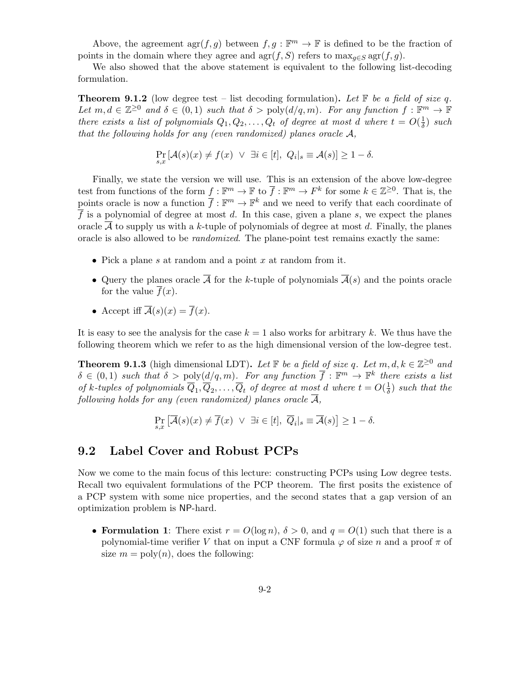Above, the agreement  $\text{agr}(f,g)$  between  $f, g: \mathbb{F}^m \to \mathbb{F}$  is defined to be the fraction of points in the domain where they agree and  $\arg(f, S)$  refers to  $\max_{g \in S} \arg(f, g)$ .

We also showed that the above statement is equivalent to the following list-decoding formulation.

**Theorem 9.1.2** (low degree test – list decoding formulation). Let  $\mathbb{F}$  be a field of size q. Let  $m, d \in \mathbb{Z}^{\geq 0}$  and  $\delta \in (0,1)$  such that  $\delta > \text{poly}(d/q,m)$ . For any function  $f : \mathbb{F}^m \to \mathbb{F}$ there exists a list of polynomials  $Q_1, Q_2, \ldots, Q_t$  of degree at most d where  $t = O(\frac{1}{\delta})$  $\frac{1}{\delta}$ ) such that the following holds for any (even randomized) planes oracle A,

$$
\Pr_{s,x}[\mathcal{A}(s)(x) \neq f(x) \ \lor \ \exists i \in [t], \ Q_i|_s \equiv \mathcal{A}(s)] \geq 1 - \delta.
$$

Finally, we state the version we will use. This is an extension of the above low-degree test from functions of the form  $f : \mathbb{F}^m \to \mathbb{F}$  to  $\overline{f} : \mathbb{F}^m \to F^k$  for some  $k \in \mathbb{Z}^{\geq 0}$ . That is, the points oracle is now a function  $\bar{f}: \mathbb{F}^m \to \mathbb{F}^k$  and we need to verify that each coordinate of  $\overline{f}$  is a polynomial of degree at most d. In this case, given a plane s, we expect the planes oracle  $\overline{\mathcal{A}}$  to supply us with a k-tuple of polynomials of degree at most d. Finally, the planes oracle is also allowed to be randomized. The plane-point test remains exactly the same:

- Pick a plane s at random and a point x at random from it.
- Query the planes oracle  $\overline{A}$  for the k-tuple of polynomials  $\overline{A}(s)$  and the points oracle for the value  $\overline{f}(x)$ .
- Accept iff  $\overline{\mathcal{A}}(s)(x) = \overline{f}(x)$ .

It is easy to see the analysis for the case  $k = 1$  also works for arbitrary k. We thus have the following theorem which we refer to as the high dimensional version of the low-degree test.

<span id="page-1-0"></span>**Theorem 9.1.3** (high dimensional LDT). Let  $\mathbb{F}$  be a field of size q. Let  $m, d, k \in \mathbb{Z}^{\geq 0}$  and  $\delta \in (0,1)$  such that  $\delta > \text{poly}(d/q,m)$ . For any function  $\overline{f} : \mathbb{F}^m \to \mathbb{F}^k$  there exists a list of k-tuples of polynomials  $\overline{Q}_1, \overline{Q}_2, \ldots, \overline{Q}_t$  of degree at most d where  $t = O(\frac{1}{\delta})$  $\frac{1}{\delta}$ ) such that the following holds for any (even randomized) planes oracle  $\overline{\mathcal{A}}$ ,

$$
\Pr_{s,x}\left[\overline{\mathcal{A}}(s)(x)\neq \overline{f}(x) \ \vee \ \exists i\in[t],\ \overline{Q}_i|_s\equiv \overline{\mathcal{A}}(s)\right]\geq 1-\delta.
$$

## 9.2 Label Cover and Robust PCPs

Now we come to the main focus of this lecture: constructing PCPs using Low degree tests. Recall two equivalent formulations of the PCP theorem. The first posits the existence of a PCP system with some nice properties, and the second states that a gap version of an optimization problem is NP-hard.

• Formulation 1: There exist  $r = O(\log n)$ ,  $\delta > 0$ , and  $q = O(1)$  such that there is a polynomial-time verifier V that on input a CNF formula  $\varphi$  of size n and a proof  $\pi$  of size  $m = \text{poly}(n)$ , does the following: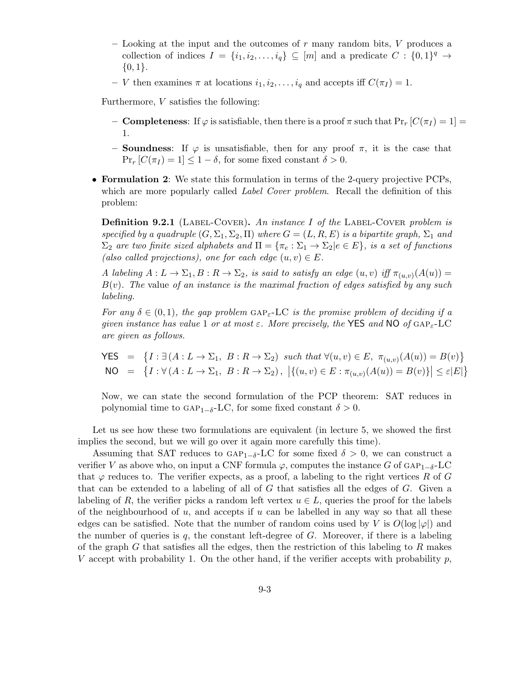- Looking at the input and the outcomes of  $r$  many random bits,  $V$  produces a collection of indices  $I = \{i_1, i_2, \ldots, i_q\} \subseteq [m]$  and a predicate  $C : \{0,1\}^q \to$  $\{0,1\}.$
- V then examines  $\pi$  at locations  $i_1, i_2, \ldots, i_q$  and accepts iff  $C(\pi_I) = 1$ .

Furthermore, V satisfies the following:

- **Completeness**: If  $\varphi$  is satisfiable, then there is a proof  $\pi$  such that  $Pr_r[C(\pi_I) = 1]$ 1.
- **Soundness**: If  $\varphi$  is unsatisfiable, then for any proof  $\pi$ , it is the case that  $\Pr_r [C(\pi_I) = 1] \leq 1 - \delta$ , for some fixed constant  $\delta > 0$ .
- Formulation 2: We state this formulation in terms of the 2-query projective PCPs, which are more popularly called *Label Cover problem*. Recall the definition of this problem:

**Definition 9.2.1** (LABEL-COVER). An instance I of the LABEL-COVER problem is specified by a quadruple  $(G, \Sigma_1, \Sigma_2, \Pi)$  where  $G = (L, R, E)$  is a bipartite graph,  $\Sigma_1$  and  $\Sigma_2$  are two finite sized alphabets and  $\Pi = {\pi_e : \Sigma_1 \to \Sigma_2 | e \in E}$ , is a set of functions (also called projections), one for each edge  $(u, v) \in E$ .

A labeling  $A: L \to \Sigma_1, B: R \to \Sigma_2$ , is said to satisfy an edge  $(u, v)$  iff  $\pi_{(u, v)}(A(u)) =$  $B(v)$ . The value of an instance is the maximal fraction of edges satisfied by any such labeling.

For any  $\delta \in (0,1)$ , the gap problem GAP<sub>F</sub>-LC is the promise problem of deciding if a given instance has value 1 or at most  $\varepsilon$ . More precisely, the YES and NO of GAP<sub> $\varepsilon$ </sub>-LC are given as follows.

$$
\begin{aligned}\n\text{YES} &= \{ I : \exists \left( A : L \to \Sigma_1, \ B : R \to \Sigma_2 \right) \text{ such that } \forall (u, v) \in E, \ \pi_{(u, v)}(A(u)) = B(v) \} \\
\text{NO} &= \{ I : \forall \left( A : L \to \Sigma_1, \ B : R \to \Sigma_2 \right), \ \left| \{(u, v) \in E : \pi_{(u, v)}(A(u)) = B(v) \} \right| \le \varepsilon |E| \} \\
\end{aligned}
$$

Now, we can state the second formulation of the PCP theorem: SAT reduces in polynomial time to GAP<sub>1−δ</sub>-LC, for some fixed constant  $\delta > 0$ .

Let us see how these two formulations are equivalent (in lecture 5, we showed the first implies the second, but we will go over it again more carefully this time).

Assuming that SAT reduces to GAP<sub>1−δ</sub>-LC for some fixed  $\delta > 0$ , we can construct a verifier V as above who, on input a CNF formula  $\varphi$ , computes the instance G of GAP<sub>1−δ</sub>-LC that  $\varphi$  reduces to. The verifier expects, as a proof, a labeling to the right vertices R of G that can be extended to a labeling of all of G that satisfies all the edges of G. Given a labeling of R, the verifier picks a random left vertex  $u \in L$ , queries the proof for the labels of the neighbourhood of u, and accepts if u can be labelled in any way so that all these edges can be satisfied. Note that the number of random coins used by V is  $O(\log |\varphi|)$  and the number of queries is  $q$ , the constant left-degree of  $G$ . Moreover, if there is a labeling of the graph G that satisfies all the edges, then the restriction of this labeling to R makes V accept with probability 1. On the other hand, if the verifier accepts with probability  $p$ ,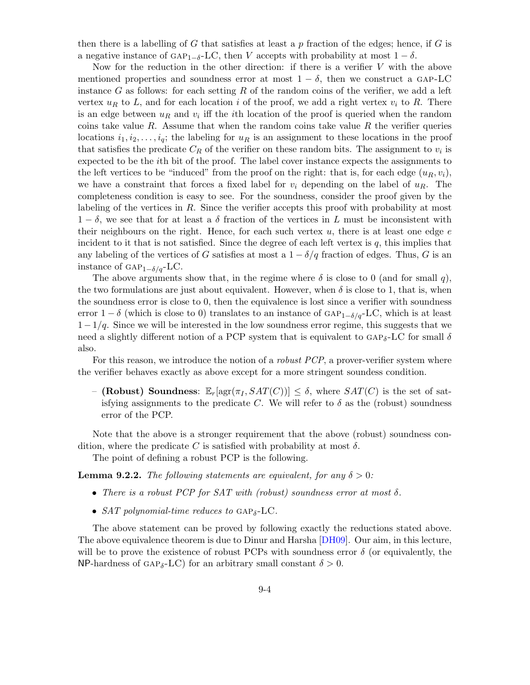then there is a labelling of G that satisfies at least a p fraction of the edges; hence, if G is a negative instance of GAP<sub>1−δ</sub>-LC, then V accepts with probability at most  $1 - \delta$ .

Now for the reduction in the other direction: if there is a verifier V with the above mentioned properties and soundness error at most  $1 - \delta$ , then we construct a GAP-LC instance G as follows: for each setting R of the random coins of the verifier, we add a left vertex  $u_R$  to L, and for each location i of the proof, we add a right vertex  $v_i$  to R. There is an edge between  $u_R$  and  $v_i$  iff the *i*th location of the proof is queried when the random coins take value R. Assume that when the random coins take value R the verifier queries locations  $i_1, i_2, \ldots, i_q$ ; the labeling for  $u_R$  is an assignment to these locations in the proof that satisfies the predicate  $C_R$  of the verifier on these random bits. The assignment to  $v_i$  is expected to be the ith bit of the proof. The label cover instance expects the assignments to the left vertices to be "induced" from the proof on the right: that is, for each edge  $(u_R, v_i)$ , we have a constraint that forces a fixed label for  $v_i$  depending on the label of  $u_R$ . The completeness condition is easy to see. For the soundness, consider the proof given by the labeling of the vertices in  $R$ . Since the verifier accepts this proof with probability at most  $1 - \delta$ , we see that for at least a  $\delta$  fraction of the vertices in L must be inconsistent with their neighbours on the right. Hence, for each such vertex  $u$ , there is at least one edge  $e$ incident to it that is not satisfied. Since the degree of each left vertex is  $q$ , this implies that any labeling of the vertices of G satisfies at most a  $1 - \delta/q$  fraction of edges. Thus, G is an instance of GAP<sub>1− $\delta/a$ </sub>-LC.

The above arguments show that, in the regime where  $\delta$  is close to 0 (and for small q), the two formulations are just about equivalent. However, when  $\delta$  is close to 1, that is, when the soundness error is close to 0, then the equivalence is lost since a verifier with soundness error 1 − δ (which is close to 0) translates to an instance of  $GAP_{1-\delta/q}-LC$ , which is at least  $1-1/q$ . Since we will be interested in the low soundness error regime, this suggests that we need a slightly different notion of a PCP system that is equivalent to  $GAP_{\delta}$ -LC for small  $\delta$ also.

For this reason, we introduce the notion of a *robust PCP*, a prover-verifier system where the verifier behaves exactly as above except for a more stringent soundess condition.

– (Robust) Soundness:  $\mathbb{E}_r[\arg(\pi_I, SAT(C))] \leq \delta$ , where  $SAT(C)$  is the set of satisfying assignments to the predicate C. We will refer to  $\delta$  as the (robust) soundness error of the PCP.

Note that the above is a stronger requirement that the above (robust) soundness condition, where the predicate C is satisfied with probability at most  $\delta$ .

The point of defining a robust PCP is the following.

**Lemma 9.2.2.** The following statements are equivalent, for any  $\delta > 0$ :

- There is a robust PCP for SAT with (robust) soundness error at most  $\delta$ .
- SAT polynomial-time reduces to  $GAP_{\delta}$ -LC.

The above statement can be proved by following exactly the reductions stated above. The above equivalence theorem is due to Dinur and Harsha [\[DH09\]](#page-13-0). Our aim, in this lecture, will be to prove the existence of robust PCPs with soundness error  $\delta$  (or equivalently, the NP-hardness of GAP<sub>δ</sub>-LC) for an arbitrary small constant  $\delta > 0$ .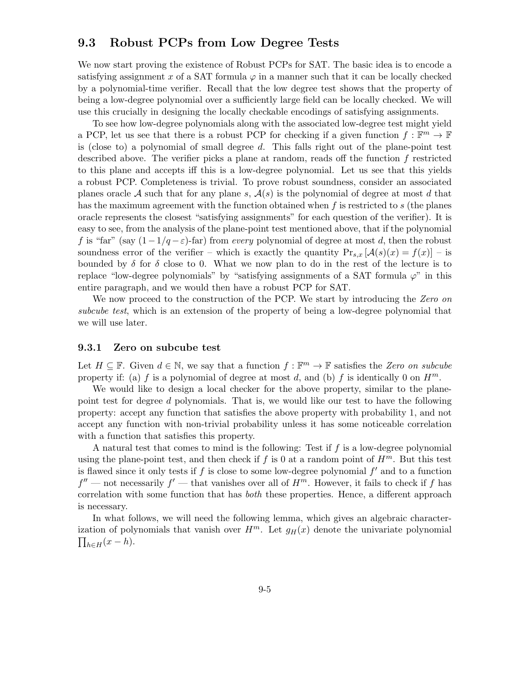### <span id="page-4-0"></span>9.3 Robust PCPs from Low Degree Tests

We now start proving the existence of Robust PCPs for SAT. The basic idea is to encode a satisfying assignment x of a SAT formula  $\varphi$  in a manner such that it can be locally checked by a polynomial-time verifier. Recall that the low degree test shows that the property of being a low-degree polynomial over a sufficiently large field can be locally checked. We will use this crucially in designing the locally checkable encodings of satisfying assignments.

To see how low-degree polynomials along with the associated low-degree test might yield a PCP, let us see that there is a robust PCP for checking if a given function  $f : \mathbb{F}^m \to \mathbb{F}$ is (close to) a polynomial of small degree  $d$ . This falls right out of the plane-point test described above. The verifier picks a plane at random, reads off the function f restricted to this plane and accepts iff this is a low-degree polynomial. Let us see that this yields a robust PCP. Completeness is trivial. To prove robust soundness, consider an associated planes oracle A such that for any plane s,  $A(s)$  is the polynomial of degree at most d that has the maximum agreement with the function obtained when  $f$  is restricted to  $s$  (the planes oracle represents the closest "satisfying assignments" for each question of the verifier). It is easy to see, from the analysis of the plane-point test mentioned above, that if the polynomial f is "far" (say  $(1-1/q-\varepsilon)$ -far) from every polynomial of degree at most d, then the robust soundness error of the verifier – which is exactly the quantity  $Pr_{s,x}$   $[\mathcal{A}(s)(x) = f(x)]$  – is bounded by  $\delta$  for  $\delta$  close to 0. What we now plan to do in the rest of the lecture is to replace "low-degree polynomials" by "satisfying assignments of a SAT formula  $\varphi$ " in this entire paragraph, and we would then have a robust PCP for SAT.

We now proceed to the construction of the PCP. We start by introducing the Zero on subcube test, which is an extension of the property of being a low-degree polynomial that we will use later.

### 9.3.1 Zero on subcube test

Let  $H \subseteq \mathbb{F}$ . Given  $d \in \mathbb{N}$ , we say that a function  $f : \mathbb{F}^m \to \mathbb{F}$  satisfies the Zero on subcube property if: (a) f is a polynomial of degree at most d, and (b) f is identically 0 on  $H^m$ .

We would like to design a local checker for the above property, similar to the planepoint test for degree d polynomials. That is, we would like our test to have the following property: accept any function that satisfies the above property with probability 1, and not accept any function with non-trivial probability unless it has some noticeable correlation with a function that satisfies this property.

A natural test that comes to mind is the following: Test if  $f$  is a low-degree polynomial using the plane-point test, and then check if f is 0 at a random point of  $H^m$ . But this test is flawed since it only tests if  $f$  is close to some low-degree polynomial  $f'$  and to a function  $f''$  — not necessarily  $f'$  — that vanishes over all of  $H^m$ . However, it fails to check if f has correlation with some function that has both these properties. Hence, a different approach is necessary.

In what follows, we will need the following lemma, which gives an algebraic characterization of polynomials that vanish over  $H^m$ . Let  $g_H(x)$  denote the univariate polynomial  $\prod_{h\in H}(x-h).$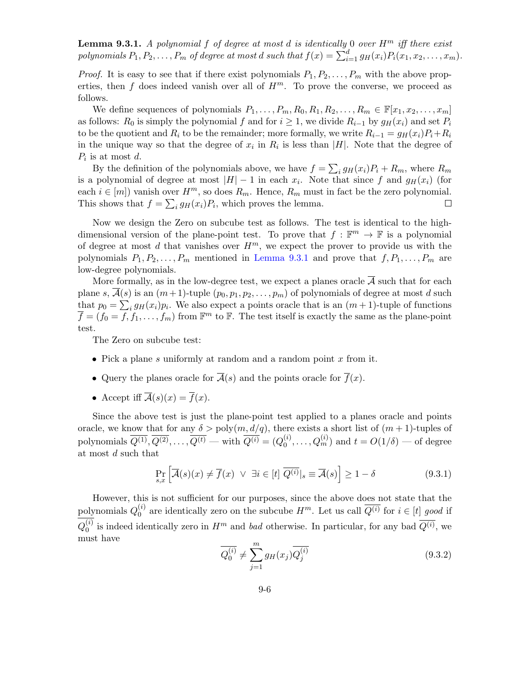<span id="page-5-0"></span>**Lemma 9.3.1.** A polynomial f of degree at most d is identically 0 over  $H^m$  iff there exist polynomials  $P_1, P_2, \ldots, P_m$  of degree at most  $d$  such that  $f(x) = \sum_{i=1}^d g_H(x_i) P_i(x_1, x_2, \ldots, x_m)$ .

*Proof.* It is easy to see that if there exist polynomials  $P_1, P_2, \ldots, P_m$  with the above properties, then f does indeed vanish over all of  $H^m$ . To prove the converse, we proceed as follows.

We define sequences of polynomials  $P_1, \ldots, P_m, R_0, R_1, R_2, \ldots, R_m \in \mathbb{F}[x_1, x_2, \ldots, x_m]$ as follows:  $R_0$  is simply the polynomial f and for  $i \geq 1$ , we divide  $R_{i-1}$  by  $g_H(x_i)$  and set  $P_i$ to be the quotient and  $R_i$  to be the remainder; more formally, we write  $R_{i-1} = g_H(x_i)P_i + R_i$ in the unique way so that the degree of  $x_i$  in  $R_i$  is less than |H|. Note that the degree of  $P_i$  is at most d.

By the definition of the polynomials above, we have  $f = \sum_i g_H(x_i) P_i + R_m$ , where  $R_m$ is a polynomial of degree at most  $|H| - 1$  in each  $x_i$ . Note that since f and  $g_H(x_i)$  (for each  $i \in [m]$ ) vanish over  $H^m$ , so does  $R_m$ . Hence,  $R_m$  must in fact be the zero polynomial. This shows that  $f = \sum_i g_H(x_i) P_i$ , which proves the lemma.  $\Box$ 

Now we design the Zero on subcube test as follows. The test is identical to the highdimensional version of the plane-point test. To prove that  $f : \mathbb{F}^m \to \mathbb{F}$  is a polynomial of degree at most d that vanishes over  $H<sup>m</sup>$ , we expect the prover to provide us with the polynomials  $P_1, P_2, \ldots, P_m$  mentioned in [Lemma 9.3.1](#page-5-0) and prove that  $f, P_1, \ldots, P_m$  are low-degree polynomials.

More formally, as in the low-degree test, we expect a planes oracle  $\overline{A}$  such that for each plane s,  $\mathcal{A}(s)$  is an  $(m+1)$ -tuple  $(p_0, p_1, p_2, \ldots, p_m)$  of polynomials of degree at most d such that  $p_0 = \sum_i g_H(x_i)p_i$ . We also expect a points oracle that is an  $(m+1)$ -tuple of functions  $\overline{f} = (f_0 = \overline{f}, f_1, \ldots, f_m)$  from  $\mathbb{F}^m$  to  $\mathbb{F}$ . The test itself is exactly the same as the plane-point test.

The Zero on subcube test:

- Pick a plane s uniformly at random and a random point  $x$  from it.
- Query the planes oracle for  $\overline{A}(s)$  and the points oracle for  $\overline{f}(x)$ .
- Accept iff  $\overline{\mathcal{A}}(s)(x) = \overline{f}(x)$ .

Since the above test is just the plane-point test applied to a planes oracle and points oracle, we know that for any  $\delta > \text{poly}(m, d/q)$ , there exists a short list of  $(m + 1)$ -tuples of polynomials  $\overline{Q^{(1)}}, \overline{Q^{(2)}}, \ldots, \overline{Q^{(t)}}$  — with  $\overline{Q^{(i)}} = (Q_0^{(i)})$  $\mathcal{O}_0^{(i)}, \ldots, \mathcal{Q}_m^{(i)}$  and  $t = O(1/\delta)$  — of degree at most d such that

<span id="page-5-2"></span>
$$
\Pr_{s,x} \left[ \overline{\mathcal{A}}(s)(x) \neq \overline{f}(x) \ \lor \ \exists i \in [t] \ \overline{Q^{(i)}} \vert_s \equiv \overline{\mathcal{A}}(s) \right] \ge 1 - \delta \tag{9.3.1}
$$

However, this is not sufficient for our purposes, since the above does not state that the polynomials  $Q_0^{(i)}$  $\mathcal{O}_0^{(i)}$  are identically zero on the subcube  $H^m$ . Let us call  $Q^{(i)}$  for  $i \in [t]$  good if  $Q_0^{(i)}$  $\ell_0^{(i)}$  is indeed identically zero in  $H^m$  and bad otherwise. In particular, for any bad  $Q^{(i)}$ , we must have

<span id="page-5-1"></span>
$$
\overline{Q_0^{(i)}} \neq \sum_{j=1}^m g_H(x_j) \overline{Q_j^{(i)}}
$$
\n(9.3.2)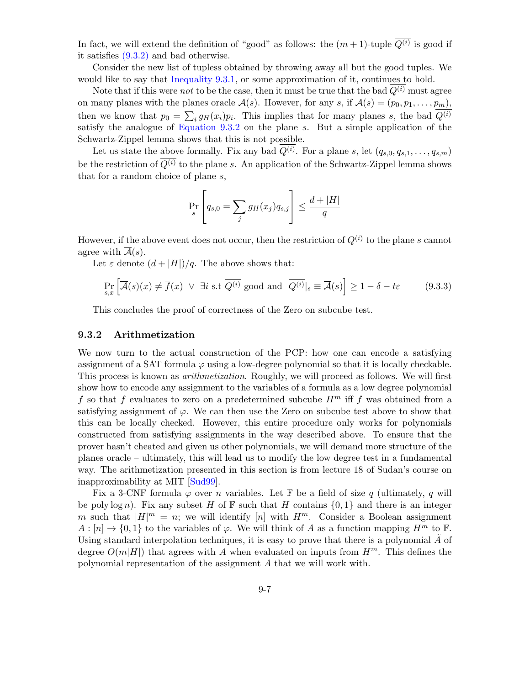In fact, we will extend the definition of "good" as follows: the  $(m+1)$ -tuple  $Q^{(i)}$  is good if it satisfies [\(9.3.2\)](#page-5-1) and bad otherwise.

Consider the new list of tupless obtained by throwing away all but the good tuples. We would like to say that [Inequality 9.3.1,](#page-5-2) or some approximation of it, continues to hold.

Note that if this were not to be the case, then it must be true that the bad  $Q^{(i)}$  must agree on many planes with the planes oracle  $\overline{\mathcal{A}}(s)$ . However, for any s, if  $\overline{\mathcal{A}}(s) = (p_0, p_1, \ldots, p_m)$ , then we know that  $p_0 = \sum_i g_H(x_i) p_i$ . This implies that for many planes s, the bad  $Q^{(i)}$ satisfy the analogue of [Equation 9.3.2](#page-5-1) on the plane s. But a simple application of the Schwartz-Zippel lemma shows that this is not possible.

Let us state the above formally. Fix any bad  $Q^{(i)}$ . For a plane s, let  $(q_{s,0}, q_{s,1}, \ldots, q_{s,m})$ be the restriction of  $\overline{Q^{(i)}}$  to the plane s. An application of the Schwartz-Zippel lemma shows that for a random choice of plane  $s$ ,

$$
\Pr_{s} \left[ q_{s,0} = \sum_{j} g_H(x_j) q_{s,j} \right] \le \frac{d + |H|}{q}
$$

However, if the above event does not occur, then the restriction of  $\overline{Q^{(i)}}$  to the plane s cannot agree with  $\overline{A}(s)$ .

Let  $\varepsilon$  denote  $(d+|H|)/q$ . The above shows that:

$$
\Pr_{s,x} \left[ \overline{\mathcal{A}}(s)(x) \neq \overline{f}(x) \ \lor \ \exists i \text{ s.t } \overline{Q^{(i)}} \text{ good and } \overline{Q^{(i)}}|_s \equiv \overline{\mathcal{A}}(s) \right] \ge 1 - \delta - t\varepsilon \tag{9.3.3}
$$

This concludes the proof of correctness of the Zero on subcube test.

### 9.3.2 Arithmetization

We now turn to the actual construction of the PCP: how one can encode a satisfying assignment of a SAT formula  $\varphi$  using a low-degree polynomial so that it is locally checkable. This process is known as arithmetization. Roughly, we will proceed as follows. We will first show how to encode any assignment to the variables of a formula as a low degree polynomial f so that f evaluates to zero on a predetermined subcube  $H^m$  iff f was obtained from a satisfying assignment of  $\varphi$ . We can then use the Zero on subcube test above to show that this can be locally checked. However, this entire procedure only works for polynomials constructed from satisfying assignments in the way described above. To ensure that the prover hasn't cheated and given us other polynomials, we will demand more structure of the planes oracle – ultimately, this will lead us to modify the low degree test in a fundamental way. The arithmetization presented in this section is from lecture 18 of Sudan's course on inapproximability at MIT [\[Sud99\]](#page-13-1).

Fix a 3-CNF formula  $\varphi$  over *n* variables. Let F be a field of size q (ultimately, q will be poly log n). Fix any subset H of  $\mathbb F$  such that H contains  $\{0,1\}$  and there is an integer m such that  $|H|^m = n$ ; we will identify [n] with  $H^m$ . Consider a Boolean assignment  $A: [n] \to \{0,1\}$  to the variables of  $\varphi$ . We will think of A as a function mapping  $H^m$  to  $\mathbb{F}$ . Using standard interpolation techniques, it is easy to prove that there is a polynomial  $\tilde{A}$  of degree  $O(m|H|)$  that agrees with A when evaluated on inputs from  $H<sup>m</sup>$ . This defines the polynomial representation of the assignment A that we will work with.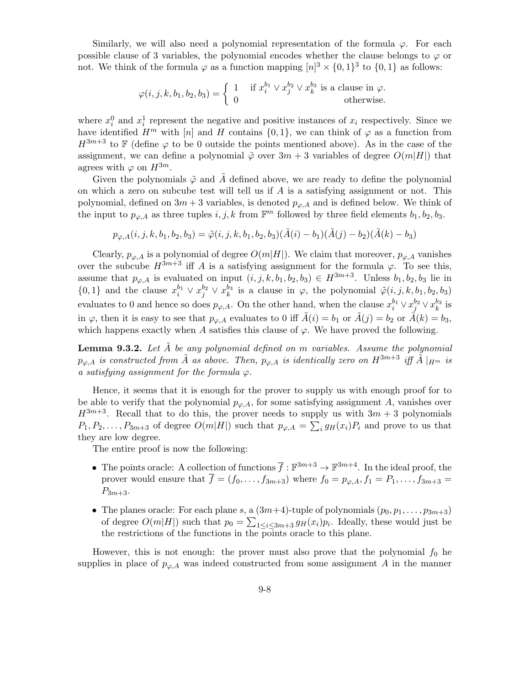Similarly, we will also need a polynomial representation of the formula  $\varphi$ . For each possible clause of 3 variables, the polynomial encodes whether the clause belongs to  $\varphi$  or not. We think of the formula  $\varphi$  as a function mapping  $[n]^3 \times \{0,1\}^3$  to  $\{0,1\}$  as follows:

$$
\varphi(i,j,k,b_1,b_2,b_3) = \begin{cases} 1 & \text{if } x_i^{b_1} \vee x_j^{b_2} \vee x_k^{b_3} \text{ is a clause in } \varphi. \\ 0 & \text{otherwise.} \end{cases}
$$

where  $x_i^0$  and  $x_i^1$  represent the negative and positive instances of  $x_i$  respectively. Since we have identified  $H^m$  with  $[n]$  and H contains  $\{0, 1\}$ , we can think of  $\varphi$  as a function from  $H^{3m+3}$  to F (define  $\varphi$  to be 0 outside the points mentioned above). As in the case of the assignment, we can define a polynomial  $\tilde{\varphi}$  over  $3m + 3$  variables of degree  $O(m|H|)$  that agrees with  $\varphi$  on  $H^{3m}$ .

Given the polynomials  $\tilde{\varphi}$  and  $\tilde{A}$  defined above, we are ready to define the polynomial on which a zero on subcube test will tell us if  $A$  is a satisfying assignment or not. This polynomial, defined on  $3m + 3$  variables, is denoted  $p_{\varphi,A}$  and is defined below. We think of the input to  $p_{\varphi,A}$  as three tuples  $i, j, k$  from  $\mathbb{F}^m$  followed by three field elements  $b_1, b_2, b_3$ .

$$
p_{\varphi,A}(i,j,k,b_1,b_2,b_3) = \tilde{\varphi}(i,j,k,b_1,b_2,b_3)(\tilde{A}(i) - b_1)(\tilde{A}(j) - b_2)(\tilde{A}(k) - b_3)
$$

Clearly,  $p_{\varphi,A}$  is a polynomial of degree  $O(m|H|)$ . We claim that moreover,  $p_{\varphi,A}$  vanishes over the subcube  $H^{3m+3}$  iff A is a satisfying assignment for the formula  $\varphi$ . To see this, assume that  $p_{\varphi,A}$  is evaluated on input  $(i, j, k, b_1, b_2, b_3) \in H^{3m+3}$ . Unless  $b_1, b_2, b_3$  lie in  $\{0,1\}$  and the clause  $x_i^{b_1} \vee x_j^{b_2} \vee x_k^{b_3}$  is a clause in  $\varphi$ , the polynomial  $\tilde{\varphi}(i, j, k, b_1, b_2, b_3)$ evaluates to 0 and hence so does  $p_{\varphi,A}$ . On the other hand, when the clause  $x_i^{b_1} \vee x_j^{b_2} \vee x_k^{b_3}$  is in  $\varphi$ , then it is easy to see that  $p_{\varphi,A}$  evaluates to 0 iff  $\tilde{A}(i) = b_1$  or  $\tilde{A}(j) = b_2$  or  $\tilde{A}(k) = b_3$ , which happens exactly when A satisfies this clause of  $\varphi$ . We have proved the following.

**Lemma 9.3.2.** Let  $\tilde{A}$  be any polynomial defined on m variables. Assume the polynomial  $p_{\varphi,A}$  is constructed from  $\tilde{A}$  as above. Then,  $p_{\varphi,A}$  is identically zero on  $H^{3m+3}$  iff  $\tilde{A}\vert_{H^m}$  is a satisfying assignment for the formula  $\varphi$ .

Hence, it seems that it is enough for the prover to supply us with enough proof for to be able to verify that the polynomial  $p_{\varphi,A}$ , for some satisfying assignment A, vanishes over  $H^{3m+3}$ . Recall that to do this, the prover needs to supply us with  $3m+3$  polynomials  $P_1, P_2, \ldots, P_{3m+3}$  of degree  $O(m|H|)$  such that  $p_{\varphi,A} = \sum_i g_H(x_i)P_i$  and prove to us that they are low degree.

The entire proof is now the following:

- The points oracle: A collection of functions  $\overline{f}: \mathbb{F}^{3m+3} \to \mathbb{F}^{3m+4}$ . In the ideal proof, the prover would ensure that  $\overline{f} = (f_0, \ldots, f_{3m+3})$  where  $f_0 = p_{\varphi,A}, f_1 = P_1, \ldots, f_{3m+3} =$  $P_{3m+3}$ .
- The planes oracle: For each plane s, a  $(3m+4)$ -tuple of polynomials  $(p_0, p_1, \ldots, p_{3m+3})$ of degree  $O(m|H|)$  such that  $p_0 = \sum_{1 \leq i \leq 3m+3} g_H(x_i)p_i$ . Ideally, these would just be the restrictions of the functions in the points oracle to this plane.

However, this is not enough: the prover must also prove that the polynomial  $f_0$  he supplies in place of  $p_{\varphi,A}$  was indeed constructed from some assignment A in the manner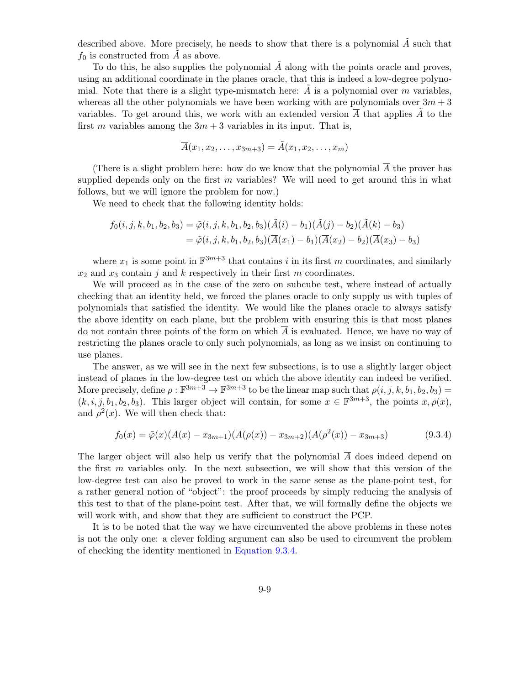described above. More precisely, he needs to show that there is a polynomial  $\vec{A}$  such that  $f_0$  is constructed from A as above.

To do this, he also supplies the polynomial  $\tilde{A}$  along with the points oracle and proves, using an additional coordinate in the planes oracle, that this is indeed a low-degree polynomial. Note that there is a slight type-mismatch here:  $\hat{A}$  is a polynomial over m variables, whereas all the other polynomials we have been working with are polynomials over  $3m + 3$ variables. To get around this, we work with an extended version  $\overline{A}$  that applies  $\overline{A}$  to the first m variables among the  $3m + 3$  variables in its input. That is,

$$
\overline{A}(x_1, x_2, \dots, x_{3m+3}) = \tilde{A}(x_1, x_2, \dots, x_m)
$$

(There is a slight problem here: how do we know that the polynomial  $\overline{A}$  the prover has supplied depends only on the first  $m$  variables? We will need to get around this in what follows, but we will ignore the problem for now.)

We need to check that the following identity holds:

$$
f_0(i, j, k, b_1, b_2, b_3) = \tilde{\varphi}(i, j, k, b_1, b_2, b_3)(\tilde{A}(i) - b_1)(\tilde{A}(j) - b_2)(\tilde{A}(k) - b_3)
$$
  
=  $\tilde{\varphi}(i, j, k, b_1, b_2, b_3)(\overline{A}(x_1) - b_1)(\overline{A}(x_2) - b_2)(\overline{A}(x_3) - b_3)$ 

where  $x_1$  is some point in  $\mathbb{F}^{3m+3}$  that contains i in its first m coordinates, and similarly  $x_2$  and  $x_3$  contain j and k respectively in their first m coordinates.

We will proceed as in the case of the zero on subcube test, where instead of actually checking that an identity held, we forced the planes oracle to only supply us with tuples of polynomials that satisfied the identity. We would like the planes oracle to always satisfy the above identity on each plane, but the problem with ensuring this is that most planes do not contain three points of the form on which A is evaluated. Hence, we have no way of restricting the planes oracle to only such polynomials, as long as we insist on continuing to use planes.

The answer, as we will see in the next few subsections, is to use a slightly larger object instead of planes in the low-degree test on which the above identity can indeed be verified. More precisely, define  $\rho : \mathbb{F}^{3m+3} \to \mathbb{F}^{3m+3}$  to be the linear map such that  $\rho(i, j, k, b_1, b_2, b_3) =$  $(k, i, j, b_1, b_2, b_3)$ . This larger object will contain, for some  $x \in \mathbb{F}^{3m+3}$ , the points  $x, \rho(x)$ , and  $\rho^2(x)$ . We will then check that:

<span id="page-8-0"></span>
$$
f_0(x) = \tilde{\varphi}(x)\left(\overline{A}(x) - x_{3m+1}\right)\left(\overline{A}(\rho(x)) - x_{3m+2}\right)\left(\overline{A}(\rho^2(x)) - x_{3m+3}\right) \tag{9.3.4}
$$

The larger object will also help us verify that the polynomial  $\overline{A}$  does indeed depend on the first  $m$  variables only. In the next subsection, we will show that this version of the low-degree test can also be proved to work in the same sense as the plane-point test, for a rather general notion of "object": the proof proceeds by simply reducing the analysis of this test to that of the plane-point test. After that, we will formally define the objects we will work with, and show that they are sufficient to construct the PCP.

It is to be noted that the way we have circumvented the above problems in these notes is not the only one: a clever folding argument can also be used to circumvent the problem of checking the identity mentioned in [Equation 9.3.4.](#page-8-0)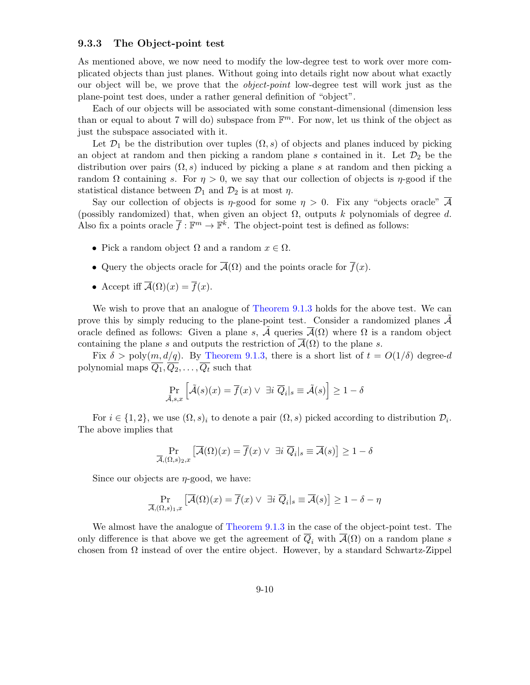### 9.3.3 The Object-point test

As mentioned above, we now need to modify the low-degree test to work over more complicated objects than just planes. Without going into details right now about what exactly our object will be, we prove that the object-point low-degree test will work just as the plane-point test does, under a rather general definition of "object".

Each of our objects will be associated with some constant-dimensional (dimension less than or equal to about 7 will do) subspace from  $\mathbb{F}^m$ . For now, let us think of the object as just the subspace associated with it.

Let  $\mathcal{D}_1$  be the distribution over tuples  $(\Omega, s)$  of objects and planes induced by picking an object at random and then picking a random plane s contained in it. Let  $\mathcal{D}_2$  be the distribution over pairs  $(\Omega, s)$  induced by picking a plane s at random and then picking a random  $\Omega$  containing s. For  $\eta > 0$ , we say that our collection of objects is  $\eta$ -good if the statistical distance between  $\mathcal{D}_1$  and  $\mathcal{D}_2$  is at most  $\eta$ .

Say our collection of objects is  $\eta$ -good for some  $\eta > 0$ . Fix any "objects oracle"  $\overline{\mathcal{A}}$ (possibly randomized) that, when given an object  $\Omega$ , outputs k polynomials of degree d. Also fix a points oracle  $\bar{f}: \mathbb{F}^m \to \mathbb{F}^k$ . The object-point test is defined as follows:

- Pick a random object  $\Omega$  and a random  $x \in \Omega$ .
- Query the objects oracle for  $\overline{A}(\Omega)$  and the points oracle for  $\overline{f}(x)$ .
- Accept iff  $\overline{A}(\Omega)(x) = \overline{f}(x)$ .

We wish to prove that an analogue of [Theorem 9.1.3](#page-1-0) holds for the above test. We can prove this by simply reducing to the plane-point test. Consider a randomized planes  $A$ oracle defined as follows: Given a plane s,  $\tilde{\mathcal{A}}$  queries  $\overline{\mathcal{A}}(\Omega)$  where  $\Omega$  is a random object containing the plane s and outputs the restriction of  $\mathcal{A}(\Omega)$  to the plane s.

Fix  $\delta > \text{poly}(m, d/q)$ . By [Theorem 9.1.3,](#page-1-0) there is a short list of  $t = O(1/\delta)$  degree-d polynomial maps  $\overline{Q_1}, \overline{Q_2}, \ldots, \overline{Q_t}$  such that

$$
\Pr_{\tilde{\mathcal{A}},s,x} \left[ \tilde{\mathcal{A}}(s)(x) = \overline{f}(x) \lor \exists i \ \overline{Q}_i |_{s} \equiv \tilde{\mathcal{A}}(s) \right] \ge 1 - \delta
$$

For  $i \in \{1,2\}$ , we use  $(\Omega, s)_i$  to denote a pair  $(\Omega, s)$  picked according to distribution  $\mathcal{D}_i$ . The above implies that

$$
\Pr_{\overline{\mathcal{A}}, (\Omega, s)_{2}, x} \left[ \overline{\mathcal{A}}(\Omega)(x) = \overline{f}(x) \lor \exists i \overline{Q}_{i} |_{s} \equiv \overline{\mathcal{A}}(s) \right] \ge 1 - \delta
$$

Since our objects are  $\eta$ -good, we have:

$$
\Pr_{\overline{\mathcal{A}}, (\Omega, s)_{1}, x} \left[ \overline{\mathcal{A}}(\Omega)(x) = \overline{f}(x) \lor \exists i \, \overline{Q}_i |_s \equiv \overline{\mathcal{A}}(s) \right] \ge 1 - \delta - \eta
$$

We almost have the analogue of [Theorem 9.1.3](#page-1-0) in the case of the object-point test. The only difference is that above we get the agreement of  $\overline{Q}_i$  with  $\overline{A}(\Omega)$  on a random plane s chosen from  $\Omega$  instead of over the entire object. However, by a standard Schwartz-Zippel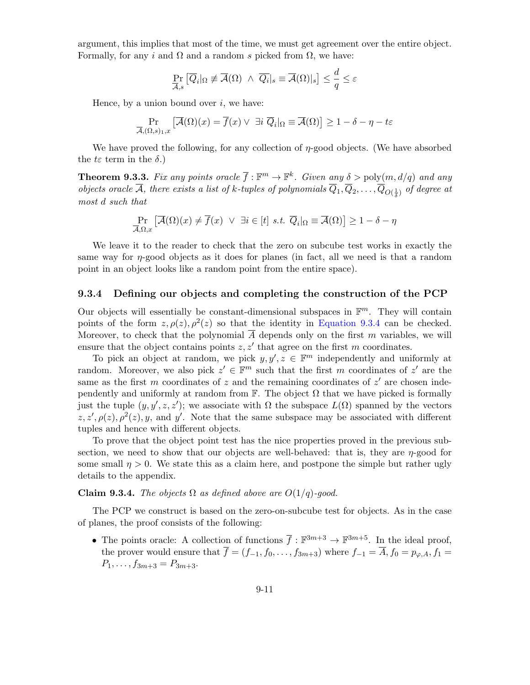argument, this implies that most of the time, we must get agreement over the entire object. Formally, for any i and  $\Omega$  and a random s picked from  $\Omega$ , we have:

$$
\Pr_{\overline{\mathcal{A}},s}\left[\overline{Q}_i|_{\Omega}\not\equiv \overline{\mathcal{A}}(\Omega)\ \wedge\ \overline{Q}_i|_s\equiv \overline{\mathcal{A}}(\Omega)|_s\right]\leq \frac{d}{q}\leq \varepsilon
$$

Hence, by a union bound over  $i$ , we have:

$$
\Pr_{\overline{\mathcal{A}}, (\Omega, s)_{1}, x} \left[ \overline{\mathcal{A}}(\Omega)(x) = \overline{f}(x) \lor \exists i \ \overline{Q}_i | \Omega \equiv \overline{\mathcal{A}}(\Omega) \right] \ge 1 - \delta - \eta - t\varepsilon
$$

We have proved the following, for any collection of  $\eta$ -good objects. (We have absorbed the  $t\varepsilon$  term in the  $\delta$ .)

**Theorem 9.3.3.** Fix any points oracle  $\overline{f}$ :  $\mathbb{F}^m \to \mathbb{F}^k$ . Given any  $\delta > \text{poly}(m, d/q)$  and any objects oracle A, there exists a list of k-tuples of polynomials  $Q_1, Q_2, \ldots, Q_{O(\frac{1}{\delta})}$  of degree at most d such that

$$
\Pr_{\overline{\mathcal{A}},\Omega,x} \left[ \overline{\mathcal{A}}(\Omega)(x) \neq \overline{f}(x) \ \vee \ \exists i \in [t] \ s.t. \ \overline{Q}_i|_{\Omega} \equiv \overline{\mathcal{A}}(\Omega) \right] \geq 1 - \delta - \eta
$$

We leave it to the reader to check that the zero on subcube test works in exactly the same way for η-good objects as it does for planes (in fact, all we need is that a random point in an object looks like a random point from the entire space).

#### 9.3.4 Defining our objects and completing the construction of the PCP

Our objects will essentially be constant-dimensional subspaces in  $\mathbb{F}^m$ . They will contain points of the form  $z, \rho(z), \rho^{2}(z)$  so that the identity in [Equation 9.3.4](#page-8-0) can be checked. Moreover, to check that the polynomial  $\overline{A}$  depends only on the first m variables, we will ensure that the object contains points  $z, z'$  that agree on the first m coordinates.

To pick an object at random, we pick  $y, y', z \in \mathbb{F}^m$  independently and uniformly at random. Moreover, we also pick  $z' \in \mathbb{F}^m$  such that the first m coordinates of  $z'$  are the same as the first m coordinates of z and the remaining coordinates of  $z'$  are chosen independently and uniformly at random from  $\mathbb{F}$ . The object  $\Omega$  that we have picked is formally just the tuple  $(y, y', z, z')$ ; we associate with  $\Omega$  the subspace  $L(\Omega)$  spanned by the vectors  $z, z', \rho(z), \rho^{2}(z), y$ , and y'. Note that the same subspace may be associated with different tuples and hence with different objects.

To prove that the object point test has the nice properties proved in the previous subsection, we need to show that our objects are well-behaved: that is, they are  $\eta$ -good for some small  $\eta > 0$ . We state this as a claim here, and postpone the simple but rather ugly details to the appendix.

#### <span id="page-10-0"></span>**Claim 9.3.4.** The objects  $\Omega$  as defined above are  $O(1/q)$ -good.

The PCP we construct is based on the zero-on-subcube test for objects. As in the case of planes, the proof consists of the following:

• The points oracle: A collection of functions  $\overline{f} : \mathbb{F}^{3m+3} \to \mathbb{F}^{3m+5}$ . In the ideal proof, the prover would ensure that  $\overline{f} = (f_{-1}, f_0, \ldots, f_{3m+3})$  where  $f_{-1} = \overline{A}, f_0 = p_{\varphi,A}, f_1 =$  $P_1, \ldots, f_{3m+3} = P_{3m+3}.$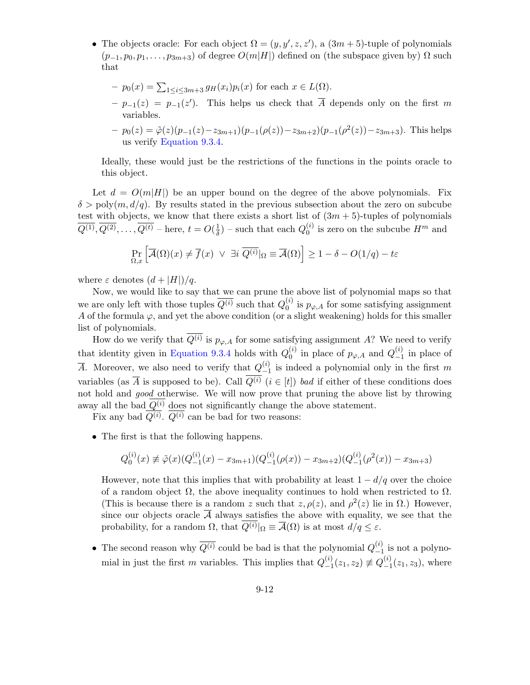• The objects oracle: For each object  $\Omega = (y, y', z, z')$ , a  $(3m + 5)$ -tuple of polynomials  $(p_{-1}, p_0, p_1, \ldots, p_{3m+3})$  of degree  $O(m|H|)$  defined on (the subspace given by)  $\Omega$  such that

- 
$$
p_0(x) = \sum_{1 \le i \le 3m+3} g_H(x_i)p_i(x)
$$
 for each  $x \in L(\Omega)$ .  
\n-  $p_{-1}(z) = p_{-1}(z')$ . This helps us check that  $\overline{A}$  depends only on the first *m* variables.

- 
$$
p_0(z) = \tilde{\varphi}(z)(p_{-1}(z) - z_{3m+1})(p_{-1}(\rho(z)) - z_{3m+2})(p_{-1}(\rho^2(z)) - z_{3m+3})
$$
. This helps us verify Equation 9.3.4.

Ideally, these would just be the restrictions of the functions in the points oracle to this object.

Let  $d = O(m|H|)$  be an upper bound on the degree of the above polynomials. Fix  $\delta > \text{poly}(m, d/q)$ . By results stated in the previous subsection about the zero on subcube test with objects, we know that there exists a short list of  $(3m + 5)$ -tuples of polynomials  $\overline{Q^{(1)}},\overline{Q^{(2)}},\ldots,\overline{Q^{(t)}}$  – here,  $t=O(\frac{1}{\delta})$  $\frac{1}{\delta}$ ) – such that each  $Q_0^{(i)}$  $_0^{(i)}$  is zero on the subcube  $H^m$  and

$$
\Pr_{\Omega,x} \left[ \overline{\mathcal{A}}(\Omega)(x) \neq \overline{f}(x) \ \lor \ \exists i \ \overline{Q^{(i)}} \middle| \Omega \equiv \overline{\mathcal{A}}(\Omega) \right] \geq 1 - \delta - O(1/q) - t\varepsilon
$$

where  $\varepsilon$  denotes  $(d+|H|)/q$ .

Now, we would like to say that we can prune the above list of polynomial maps so that we are only left with those tuples  $\overline{Q^{(i)}}$  such that  $Q_0^{(i)}$  $\int_0^{(i)}$  is  $p_{\varphi,A}$  for some satisfying assignment A of the formula  $\varphi$ , and yet the above condition (or a slight weakening) holds for this smaller list of polynomials.

How do we verify that  $Q^{(i)}$  is  $p_{\varphi,A}$  for some satisfying assignment A? We need to verify that identity given in [Equation 9.3.4](#page-8-0) holds with  $Q_0^{(i)}$  $_0^{(i)}$  in place of  $p_{\varphi,A}$  and  $Q_{-1}^{(i)}$  $\binom{v}{-1}$  in place of  $\overline{A}$ . Moreover, we also need to verify that  $Q_{-1}^{(i)}$  $\binom{v}{-1}$  is indeed a polynomial only in the first m variables (as  $\overline{A}$  is supposed to be). Call  $\overline{Q^{(i)}}$  ( $i \in [t]$ ) bad if either of these conditions does not hold and *good* otherwise. We will now prove that pruning the above list by throwing away all the bad  $\overline{Q^{(i)}}$  does not significantly change the above statement.

Fix any bad  $Q^{(i)}$ .  $Q^{(i)}$  can be bad for two reasons:

• The first is that the following happens.

$$
Q_0^{(i)}(x) \neq \tilde{\varphi}(x)(Q_{-1}^{(i)}(x) - x_{3m+1})(Q_{-1}^{(i)}(\rho(x)) - x_{3m+2})(Q_{-1}^{(i)}(\rho^2(x)) - x_{3m+3})
$$

However, note that this implies that with probability at least  $1 - d/q$  over the choice of a random object  $\Omega$ , the above inequality continues to hold when restricted to  $\Omega$ . (This is because there is a random z such that  $z, \rho(z)$ , and  $\rho^2(z)$  lie in  $\Omega$ .) However, since our objects oracle  $\overline{A}$  always satisfies the above with equality, we see that the probability, for a random  $\Omega$ , that  $Q^{(i)}|_{\Omega} \equiv \overline{\mathcal{A}}(\Omega)$  is at most  $d/q \leq \varepsilon$ .

• The second reason why  $\overline{Q^{(i)}}$  could be bad is that the polynomial  $Q_{-1}^{(i)}$  $\binom{v}{-1}$  is not a polynomial in just the first m variables. This implies that  $Q_{-1}^{(i)}$  $\binom{(i)}{-1}(z_1, z_2) \not\equiv Q_{-1}^{(i)}$  $\binom{v}{-1}(z_1, z_3)$ , where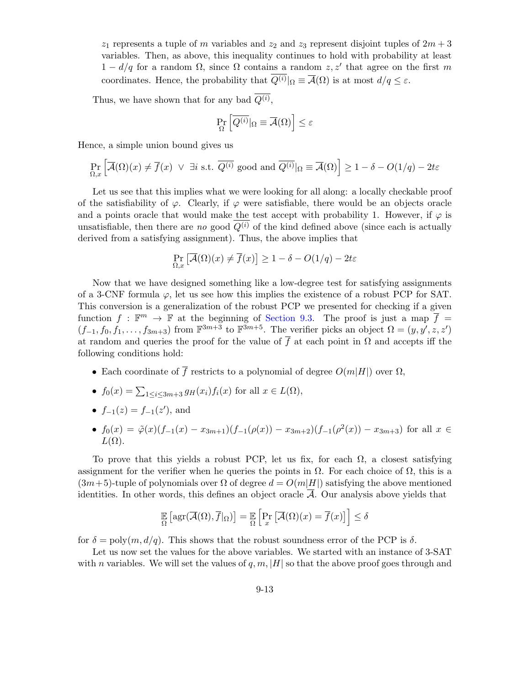$z_1$  represents a tuple of m variables and  $z_2$  and  $z_3$  represent disjoint tuples of  $2m + 3$ variables. Then, as above, this inequality continues to hold with probability at least  $1 - d/q$  for a random  $\Omega$ , since  $\Omega$  contains a random  $z, z'$  that agree on the first m coordinates. Hence, the probability that  $Q^{(i)}|_{\Omega} \equiv \overline{\mathcal{A}}(\Omega)$  is at most  $d/q \leq \varepsilon$ .

Thus, we have shown that for any bad  $Q^{(i)}$ ,

$$
\Pr_{\Omega}\left[\overline{Q^{(i)}}|_{\Omega}\equiv\overline{\mathcal{A}}(\Omega)\right]\leq\varepsilon
$$

Hence, a simple union bound gives us

$$
\Pr_{\Omega,x} \left[ \overline{\mathcal{A}}(\Omega)(x) \neq \overline{f}(x) \ \lor \ \exists i \text{ s.t. } \overline{Q^{(i)}} \text{ good and } \overline{Q^{(i)}} |_{\Omega} \equiv \overline{\mathcal{A}}(\Omega) \right] \ge 1 - \delta - O(1/q) - 2t\varepsilon
$$

Let us see that this implies what we were looking for all along: a locally checkable proof of the satisfiability of  $\varphi$ . Clearly, if  $\varphi$  were satisfiable, there would be an objects oracle and a points oracle that would make the test accept with probability 1. However, if  $\varphi$  is unsatisfiable, then there are no good  $\overline{Q^{(i)}}$  of the kind defined above (since each is actually derived from a satisfying assignment). Thus, the above implies that

$$
\Pr_{\Omega, x} \left[ \overline{\mathcal{A}}(\Omega)(x) \neq \overline{f}(x) \right] \ge 1 - \delta - O(1/q) - 2t\varepsilon
$$

Now that we have designed something like a low-degree test for satisfying assignments of a 3-CNF formula  $\varphi$ , let us see how this implies the existence of a robust PCP for SAT. This conversion is a generalization of the robust PCP we presented for checking if a given function  $f : \mathbb{F}^m \to \mathbb{F}$  at the beginning of [Section 9.3.](#page-4-0) The proof is just a map  $\overline{f}$  =  $(f_{-1}, f_0, f_1, \ldots, f_{3m+3})$  from  $\mathbb{F}^{3m+3}$  to  $\mathbb{F}^{3m+5}$ . The verifier picks an object  $\Omega = (y, y', z, z')$ at random and queries the proof for the value of  $\overline{f}$  at each point in  $\Omega$  and accepts iff the following conditions hold:

- Each coordinate of  $\overline{f}$  restricts to a polynomial of degree  $O(m|H|)$  over  $\Omega$ ,
- $f_0(x) = \sum_{1 \leq i \leq 3m+3} g_H(x_i) f_i(x)$  for all  $x \in L(\Omega)$ ,
- $f_{-1}(z) = f_{-1}(z')$ , and
- $f_0(x) = \tilde{\varphi}(x)(f_{-1}(x) x_{3m+1})(f_{-1}(\rho(x)) x_{3m+2})(f_{-1}(\rho(x)) x_{3m+3})$  for all  $x \in$  $L(\Omega)$ .

To prove that this yields a robust PCP, let us fix, for each  $\Omega$ , a closest satisfying assignment for the verifier when he queries the points in  $\Omega$ . For each choice of  $\Omega$ , this is a  $(3m+5)$ -tuple of polynomials over  $\Omega$  of degree  $d = O(m|H|)$  satisfying the above mentioned identities. In other words, this defines an object oracle  $\overline{\mathcal{A}}$ . Our analysis above yields that

$$
\mathop{\mathbb{E}}_{\Omega}\left[\arg(\overline{\mathcal{A}}(\Omega), \overline{f}|_{\Omega})\right] = \mathop{\mathbb{E}}_{\Omega}\left[\Pr_x\left[\overline{\mathcal{A}}(\Omega)(x) = \overline{f}(x)\right]\right] \le \delta
$$

for  $\delta = \text{poly}(m, d/q)$ . This shows that the robust soundness error of the PCP is  $\delta$ .

Let us now set the values for the above variables. We started with an instance of 3-SAT with n variables. We will set the values of  $q, m, |H|$  so that the above proof goes through and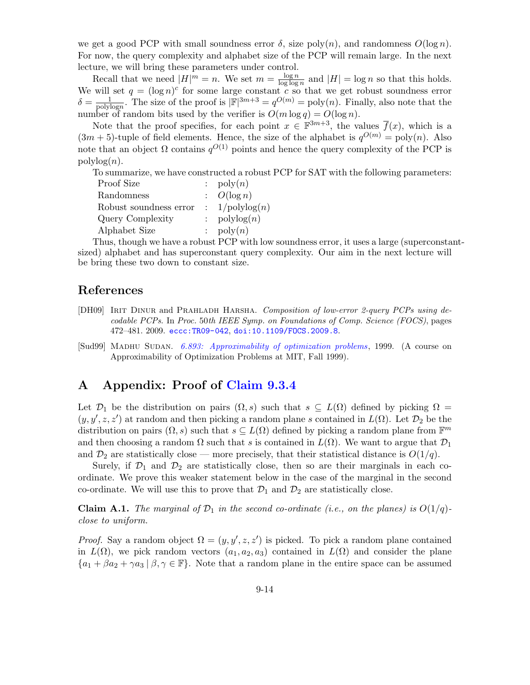we get a good PCP with small soundness error  $\delta$ , size poly $(n)$ , and randomness  $O(\log n)$ . For now, the query complexity and alphabet size of the PCP will remain large. In the next lecture, we will bring these parameters under control.

Recall that we need  $|H|^m = n$ . We set  $m = \frac{\log n}{\log \log n}$  $\frac{\log n}{\log \log n}$  and  $|H| = \log n$  so that this holds. We will set  $q = (\log n)^c$  for some large constant c so that we get robust soundness error  $\delta = \frac{1}{\text{poly}}$  $\frac{1}{\text{polylog}n}$ . The size of the proof is  $|\mathbb{F}|^{3m+3} = q^{O(m)} = \text{poly}(n)$ . Finally, also note that the number of random bits used by the verifier is  $O(m \log q) = O(\log n)$ .

Note that the proof specifies, for each point  $x \in \mathbb{F}^{3m+3}$ , the values  $\overline{f}(x)$ , which is a  $(3m + 5)$ -tuple of field elements. Hence, the size of the alphabet is  $q^{O(m)} = \text{poly}(n)$ . Also note that an object  $\Omega$  contains  $q^{O(1)}$  points and hence the query complexity of the PCP is  $\text{polylog}(n)$ .

To summarize, we have constructed a robust PCP for SAT with the following parameters:

| Proof Size             | : $\text{poly}(n)$             |
|------------------------|--------------------------------|
| Randomness             | $\therefore$ $O(\log n)$       |
| Robust soundness error | $\colon 1/\mathrm{polylog}(n)$ |
| Query Complexity       | : $\text{polylog}(n)$          |
| Alphabet Size          | $\therefore$ poly $(n)$        |

Thus, though we have a robust PCP with low soundness error, it uses a large (superconstantsized) alphabet and has superconstant query complexity. Our aim in the next lecture will be bring these two down to constant size.

# References

- <span id="page-13-0"></span>[DH09] IRIT DINUR and PRAHLADH HARSHA. Composition of low-error 2-query PCPs using decodable PCPs. In Proc. 50th IEEE Symp. on Foundations of Comp. Science (FOCS), pages 472–481. 2009. [eccc:TR09-042](http://eccc.hpi-web.de/report/2009/042), [doi:10.1109/FOCS.2009.8](http://dx.doi.org/10.1109/FOCS.2009.8).
- <span id="page-13-1"></span>[Sud99] MADHU SUDAN. [6.893: Approximability of optimization problems](http://people.csail.mit.edu/madhu/FT99/course.html), 1999. (A course on Approximability of Optimization Problems at MIT, Fall 1999).

# A Appendix: Proof of [Claim 9.3.4](#page-10-0)

Let  $\mathcal{D}_1$  be the distribution on pairs  $(\Omega, s)$  such that  $s \subseteq L(\Omega)$  defined by picking  $\Omega =$  $(y, y', z, z')$  at random and then picking a random plane s contained in  $L(\Omega)$ . Let  $\mathcal{D}_2$  be the distribution on pairs  $(\Omega, s)$  such that  $s \subseteq L(\Omega)$  defined by picking a random plane from  $\mathbb{F}^m$ and then choosing a random  $\Omega$  such that s is contained in  $L(\Omega)$ . We want to argue that  $\mathcal{D}_1$ and  $\mathcal{D}_2$  are statistically close — more precisely, that their statistical distance is  $O(1/q)$ .

Surely, if  $\mathcal{D}_1$  and  $\mathcal{D}_2$  are statistically close, then so are their marginals in each coordinate. We prove this weaker statement below in the case of the marginal in the second co-ordinate. We will use this to prove that  $\mathcal{D}_1$  and  $\mathcal{D}_2$  are statistically close.

<span id="page-13-2"></span>**Claim A.1.** The marginal of  $\mathcal{D}_1$  in the second co-ordinate (i.e., on the planes) is  $O(1/q)$ close to uniform.

*Proof.* Say a random object  $\Omega = (y, y', z, z')$  is picked. To pick a random plane contained in  $L(\Omega)$ , we pick random vectors  $(a_1, a_2, a_3)$  contained in  $L(\Omega)$  and consider the plane  ${a_1 + \beta a_2 + \gamma a_3 \mid \beta, \gamma \in \mathbb{F}}$ . Note that a random plane in the entire space can be assumed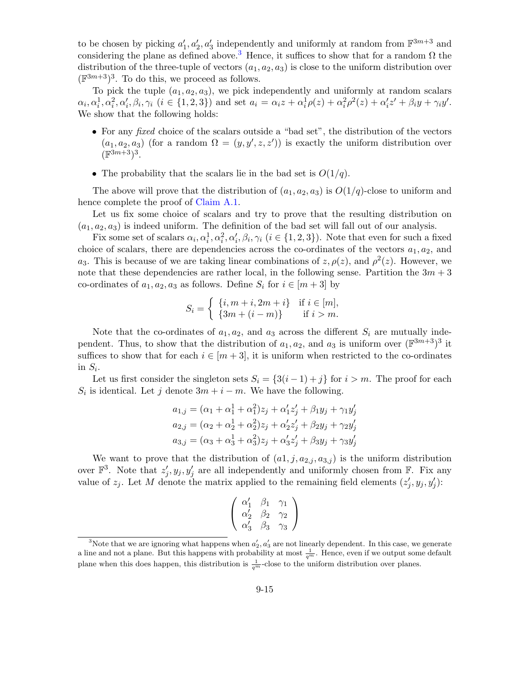to be chosen by picking  $a'_1, a'_2, a'_3$  independently and uniformly at random from  $\mathbb{F}^{3m+3}$  and considering the plane as defined above.<sup>[3](#page-14-0)</sup> Hence, it suffices to show that for a random  $\Omega$  the distribution of the three-tuple of vectors  $(a_1, a_2, a_3)$  is close to the uniform distribution over  $(\mathbb{F}^{3m+3})^3$ . To do this, we proceed as follows.

To pick the tuple  $(a_1, a_2, a_3)$ , we pick independently and uniformly at random scalars  $\alpha_i, \alpha_i^1, \alpha_i^2, \alpha_i', \beta_i, \gamma_i \ (i \in \{1, 2, 3\})$  and set  $a_i = \alpha_i z + \alpha_i^1 \rho(z) + \alpha_i^2 \rho^2(z) + \alpha_i' z' + \beta_i y + \gamma_i y'$ . We show that the following holds:

- For any *fixed* choice of the scalars outside a "bad set", the distribution of the vectors  $(a_1, a_2, a_3)$  (for a random  $\Omega = (y, y', z, z')$ ) is exactly the uniform distribution over  $(\mathbb{F}^{3m+3})^3$ .
- The probability that the scalars lie in the bad set is  $O(1/q)$ .

The above will prove that the distribution of  $(a_1, a_2, a_3)$  is  $O(1/q)$ -close to uniform and hence complete the proof of [Claim A.1.](#page-13-2)

Let us fix some choice of scalars and try to prove that the resulting distribution on  $(a_1, a_2, a_3)$  is indeed uniform. The definition of the bad set will fall out of our analysis.

Fix some set of scalars  $\alpha_i, \alpha_i^1, \alpha_i^2, \alpha_i', \beta_i, \gamma_i$   $(i \in \{1, 2, 3\})$ . Note that even for such a fixed choice of scalars, there are dependencies across the co-ordinates of the vectors  $a_1, a_2$ , and a<sub>3</sub>. This is because of we are taking linear combinations of  $z, \rho(z)$ , and  $\rho^2(z)$ . However, we note that these dependencies are rather local, in the following sense. Partition the  $3m + 3$ co-ordinates of  $a_1, a_2, a_3$  as follows. Define  $S_i$  for  $i \in [m+3]$  by

$$
S_i = \begin{cases} \n\{i, m+i, 2m+i\} & \text{if } i \in [m], \\
\{3m+(i-m)\} & \text{if } i > m.\n\end{cases}
$$

Note that the co-ordinates of  $a_1, a_2$ , and  $a_3$  across the different  $S_i$  are mutually independent. Thus, to show that the distribution of  $a_1, a_2$ , and  $a_3$  is uniform over  $(\mathbb{F}^{3m+3})^3$  it suffices to show that for each  $i \in [m+3]$ , it is uniform when restricted to the co-ordinates in  $S_i$ .

Let us first consider the singleton sets  $S_i = \{3(i-1)+j\}$  for  $i > m$ . The proof for each  $S_i$  is identical. Let j denote  $3m + i - m$ . We have the following.

$$
a_{1,j} = (\alpha_1 + \alpha_1^1 + \alpha_1^2)z_j + \alpha_1' z_j' + \beta_1 y_j + \gamma_1 y_j'
$$
  
\n
$$
a_{2,j} = (\alpha_2 + \alpha_2^1 + \alpha_2^2)z_j + \alpha_2' z_j' + \beta_2 y_j + \gamma_2 y_j'
$$
  
\n
$$
a_{3,j} = (\alpha_3 + \alpha_3^1 + \alpha_3^2)z_j + \alpha_3' z_j' + \beta_3 y_j + \gamma_3 y_j'
$$

We want to prove that the distribution of  $(a_1, j, a_{2,j}, a_{3,j})$  is the uniform distribution over  $\mathbb{F}^3$ . Note that  $z'_j, y_j, y'_j$  are all independently and uniformly chosen from  $\mathbb{F}$ . Fix any value of  $z_j$ . Let M denote the matrix applied to the remaining field elements  $(z'_j, y_j, y'_j)$ :

$$
\left(\begin{array}{ccc}\n\alpha'_1 & \beta_1 & \gamma_1 \\
\alpha'_2 & \beta_2 & \gamma_2 \\
\alpha'_3 & \beta_3 & \gamma_3\n\end{array}\right)
$$

<span id="page-14-0"></span><sup>&</sup>lt;sup>3</sup>Note that we are ignoring what happens when  $a'_2, a'_3$  are not linearly dependent. In this case, we generate a line and not a plane. But this happens with probability at most  $\frac{1}{q^m}$ . Hence, even if we output some default plane when this does happen, this distribution is  $\frac{1}{q^m}$ -close to the uniform distribution over planes.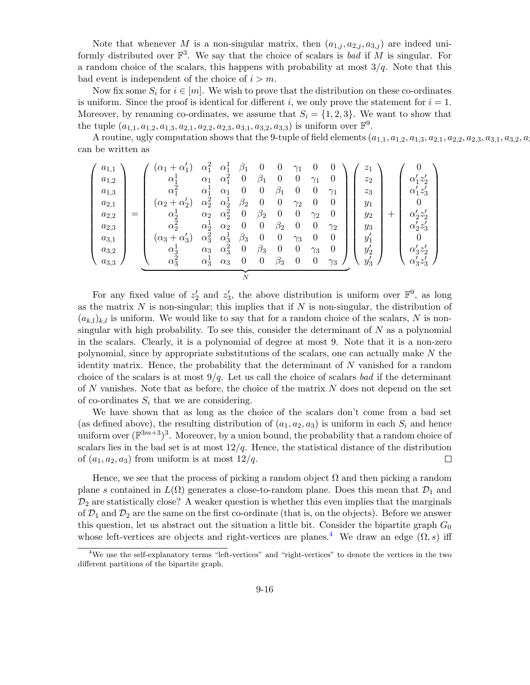Note that whenever M is a non-singular matrix, then  $(a_{1,i}, a_{2,i}, a_{3,i})$  are indeed uniformly distributed over  $\mathbb{F}^3$ . We say that the choice of scalars is bad if M is singular. For a random choice of the scalars, this happens with probability at most  $3/q$ . Note that this bad event is independent of the choice of  $i > m$ .

Now fix some  $S_i$  for  $i \in [m]$ . We wish to prove that the distribution on these co-ordinates is uniform. Since the proof is identical for different i, we only prove the statement for  $i = 1$ . Moreover, by renaming co-ordinates, we assume that  $S_i = \{1, 2, 3\}$ . We want to show that the tuple  $(a_{1,1}, a_{1,2}, a_{1,3}, a_{2,1}, a_{2,2}, a_{2,3}, a_{3,1}, a_{3,2}, a_{3,3})$  is uniform over  $\mathbb{F}^9$ .

A routine, ugly computation shows that the 9-tuple of field elements  $(a_{1,1}, a_{1,2}, a_{1,3}, a_{2,1}, a_{2,2}, a_{2,3}, a_{3,1}, a_{3,2}, a_{3,3})$ can be written as

$$
\begin{pmatrix}\na_{1,1} \\
a_{1,2} \\
a_{1,3} \\
a_{2,1} \\
a_{2,2} \\
a_{2,3} \\
a_{3,1} \\
a_{3,2}\n\end{pmatrix} = \n\begin{pmatrix}\n(\alpha_1 + \alpha'_1) & \alpha_1^2 & \alpha_1^1 & \beta_1 & 0 & 0 & \gamma_1 & 0 & 0 \\
\alpha_1^1 & \alpha_1 & \alpha_1^2 & 0 & \beta_1 & 0 & 0 & \gamma_1 & 0 \\
\alpha_1^2 & \alpha_1^1 & \alpha_1 & 0 & 0 & \beta_1 & 0 & 0 & \gamma_1 \\
\alpha_2 + \alpha'_2) & \alpha_2^2 & \alpha_2^1 & \beta_2 & 0 & 0 & \gamma_2 & 0 & 0 \\
\alpha_2^1 & \alpha_2 & \alpha_2^2 & 0 & \beta_2 & 0 & 0 & \gamma_2 & 0 & 0 \\
\alpha_2^2 & \alpha_2^1 & \alpha_2 & 0 & 0 & \beta_2 & 0 & 0 & \gamma_2 & 0 \\
\alpha_3^2 & \alpha_2^1 & \alpha_2 & 0 & 0 & \beta_2 & 0 & 0 & \gamma_2 & 0 \\
\alpha_3^3 & \alpha_3 & \alpha_3^2 & 0 & \beta_3 & 0 & 0 & \gamma_3 & 0 & 0 \\
\alpha_{3,2} & \alpha_3^1 & \alpha_3 & \alpha_3^2 & 0 & \beta_3 & 0 & 0 & \gamma_3 & 0 \\
\alpha_3^2 & \alpha_3^1 & \alpha_3 & \alpha_3 & 0 & 0 & \beta_3 & 0 & 0 & \gamma_3\n\end{pmatrix}\n\begin{pmatrix}\nz_1 \\
z_2 \\
z_3 \\
y_1 \\
y_2 \\
y_3 \\
y_4 \\
y_5\n\end{pmatrix} + \n\begin{pmatrix}\n0 \\
\alpha'_1 z'_2 \\
\alpha'_2 z'_3 \\
\alpha'_2 z'_3 \\
\alpha'_3 z'_4 \\
\alpha'_3 z'_3 \\
\alpha'_3 z'_3\n\end{pmatrix}
$$

For any fixed value of  $z_2'$  and  $z_3'$ , the above distribution is uniform over  $\mathbb{F}^9$ , as long as the matrix  $N$  is non-singular; this implies that if  $N$  is non-singular, the distribution of  $(a_{k,l})_{k,l}$  is uniform. We would like to say that for a random choice of the scalars, N is nonsingular with high probability. To see this, consider the determinant of  $N$  as a polynomial in the scalars. Clearly, it is a polynomial of degree at most 9. Note that it is a non-zero polynomial, since by appropriate substitutions of the scalars, one can actually make N the identity matrix. Hence, the probability that the determinant of  $N$  vanished for a random choice of the scalars is at most  $9/q$ . Let us call the choice of scalars bad if the determinant of N vanishes. Note that as before, the choice of the matrix  $N$  does not depend on the set of co-ordinates  $S_i$  that we are considering.

We have shown that as long as the choice of the scalars don't come from a bad set (as defined above), the resulting distribution of  $(a_1, a_2, a_3)$  is uniform in each  $S_i$  and hence uniform over  $(\mathbb{F}^{3m+3})^3$ . Moreover, by a union bound, the probability that a random choice of scalars lies in the bad set is at most  $12/q$ . Hence, the statistical distance of the distribution of  $(a_1, a_2, a_3)$  from uniform is at most  $12/q$ .  $\Box$ 

Hence, we see that the process of picking a random object  $\Omega$  and then picking a random plane s contained in  $L(\Omega)$  generates a close-to-random plane. Does this mean that  $\mathcal{D}_1$  and  $\mathcal{D}_2$  are statistically close? A weaker question is whether this even implies that the marginals of  $\mathcal{D}_1$  and  $\mathcal{D}_2$  are the same on the first co-ordinate (that is, on the objects). Before we answer this question, let us abstract out the situation a little bit. Consider the bipartite graph  $G_0$ whose left-vertices are objects and right-vertices are planes.<sup>[4](#page-15-0)</sup> We draw an edge  $(\Omega, s)$  iff

<span id="page-15-0"></span><sup>4</sup>We use the self-explanatory terms "left-vertices" and "right-vertices" to denote the vertices in the two different partitions of the bipartite graph.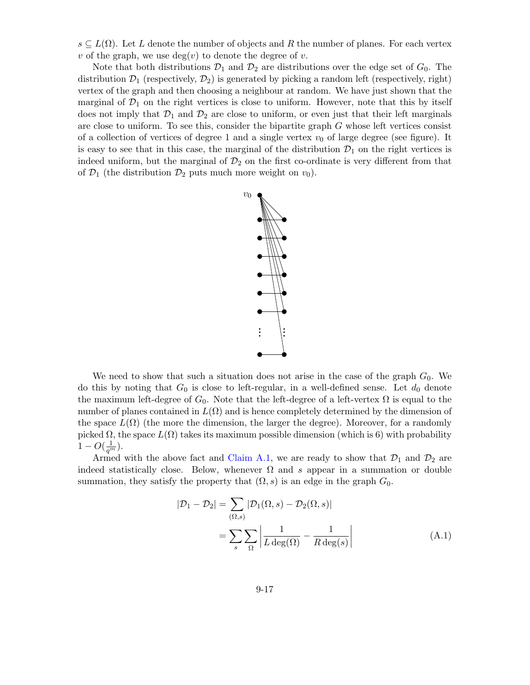$s \subseteq L(\Omega)$ . Let L denote the number of objects and R the number of planes. For each vertex v of the graph, we use  $deg(v)$  to denote the degree of v.

Note that both distributions  $\mathcal{D}_1$  and  $\mathcal{D}_2$  are distributions over the edge set of  $G_0$ . The distribution  $\mathcal{D}_1$  (respectively,  $\mathcal{D}_2$ ) is generated by picking a random left (respectively, right) vertex of the graph and then choosing a neighbour at random. We have just shown that the marginal of  $\mathcal{D}_1$  on the right vertices is close to uniform. However, note that this by itself does not imply that  $\mathcal{D}_1$  and  $\mathcal{D}_2$  are close to uniform, or even just that their left marginals are close to uniform. To see this, consider the bipartite graph G whose left vertices consist of a collection of vertices of degree 1 and a single vertex  $v_0$  of large degree (see figure). It is easy to see that in this case, the marginal of the distribution  $\mathcal{D}_1$  on the right vertices is indeed uniform, but the marginal of  $\mathcal{D}_2$  on the first co-ordinate is very different from that of  $\mathcal{D}_1$  (the distribution  $\mathcal{D}_2$  puts much more weight on  $v_0$ ).



We need to show that such a situation does not arise in the case of the graph  $G_0$ . We do this by noting that  $G_0$  is close to left-regular, in a well-defined sense. Let  $d_0$  denote the maximum left-degree of  $G_0$ . Note that the left-degree of a left-vertex  $\Omega$  is equal to the number of planes contained in  $L(\Omega)$  and is hence completely determined by the dimension of the space  $L(\Omega)$  (the more the dimension, the larger the degree). Moreover, for a randomly picked  $\Omega$ , the space  $L(\Omega)$  takes its maximum possible dimension (which is 6) with probability  $1 - O(\frac{1}{q^m}).$ 

Armed with the above fact and [Claim A.1,](#page-13-2) we are ready to show that  $\mathcal{D}_1$  and  $\mathcal{D}_2$  are indeed statistically close. Below, whenever  $\Omega$  and s appear in a summation or double summation, they satisfy the property that  $(\Omega, s)$  is an edge in the graph  $G_0$ .

<span id="page-16-0"></span>
$$
|\mathcal{D}_1 - \mathcal{D}_2| = \sum_{(\Omega, s)} |\mathcal{D}_1(\Omega, s) - \mathcal{D}_2(\Omega, s)|
$$
  
= 
$$
\sum_s \sum_{\Omega} \left| \frac{1}{L \deg(\Omega)} - \frac{1}{R \deg(s)} \right|
$$
 (A.1)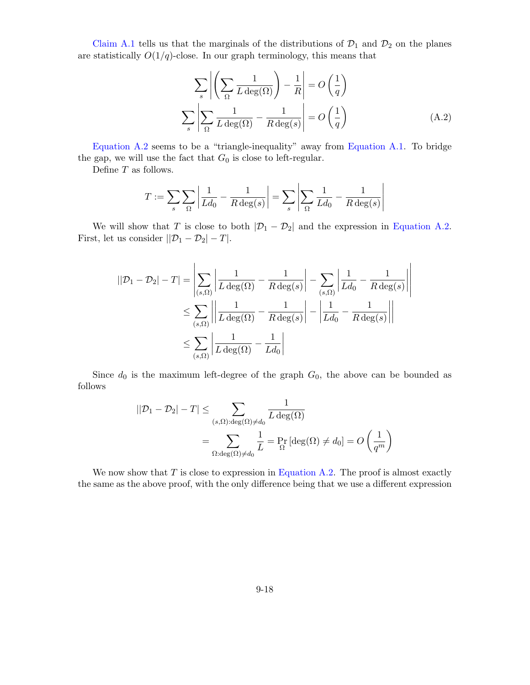[Claim A.1](#page-13-2) tells us that the marginals of the distributions of  $\mathcal{D}_1$  and  $\mathcal{D}_2$  on the planes are statistically  $O(1/q)$ -close. In our graph terminology, this means that

<span id="page-17-0"></span>
$$
\sum_{s} \left| \left( \sum_{\Omega} \frac{1}{L \deg(\Omega)} \right) - \frac{1}{R} \right| = O\left(\frac{1}{q}\right)
$$

$$
\sum_{s} \left| \sum_{\Omega} \frac{1}{L \deg(\Omega)} - \frac{1}{R \deg(s)} \right| = O\left(\frac{1}{q}\right)
$$
(A.2)

[Equation A.2](#page-17-0) seems to be a "triangle-inequality" away from [Equation A.1.](#page-16-0) To bridge the gap, we will use the fact that  $G_0$  is close to left-regular.

Define T as follows.

$$
T := \sum_{s} \sum_{\Omega} \left| \frac{1}{L d_0} - \frac{1}{R \deg(s)} \right| = \sum_{s} \left| \sum_{\Omega} \frac{1}{L d_0} - \frac{1}{R \deg(s)} \right|
$$

We will show that T is close to both  $|\mathcal{D}_1 - \mathcal{D}_2|$  and the expression in [Equation A.2.](#page-17-0) First, let us consider  $||\mathcal{D}_1 - \mathcal{D}_2| - T|$ .

$$
||\mathcal{D}_1 - \mathcal{D}_2| - T| = \left| \sum_{(s,\Omega)} \left| \frac{1}{L \deg(\Omega)} - \frac{1}{R \deg(s)} \right| - \sum_{(s,\Omega)} \left| \frac{1}{L d_0} - \frac{1}{R \deg(s)} \right| \right|
$$
  

$$
\leq \sum_{(s,\Omega)} \left| \left| \frac{1}{L \deg(\Omega)} - \frac{1}{R \deg(s)} \right| - \left| \frac{1}{L d_0} - \frac{1}{R \deg(s)} \right| \right|
$$
  

$$
\leq \sum_{(s,\Omega)} \left| \frac{1}{L \deg(\Omega)} - \frac{1}{L d_0} \right|
$$

Since  $d_0$  is the maximum left-degree of the graph  $G_0$ , the above can be bounded as follows

$$
||\mathcal{D}_1 - \mathcal{D}_2| - T| \le \sum_{(s,\Omega): \deg(\Omega) \neq d_0} \frac{1}{L \deg(\Omega)}
$$
  
= 
$$
\sum_{\Omega: \deg(\Omega) \neq d_0} \frac{1}{L} = \Pr_{\Omega} [\deg(\Omega) \neq d_0] = O\left(\frac{1}{q^m}\right)
$$

We now show that  $T$  is close to expression in [Equation A.2.](#page-17-0) The proof is almost exactly the same as the above proof, with the only difference being that we use a different expression